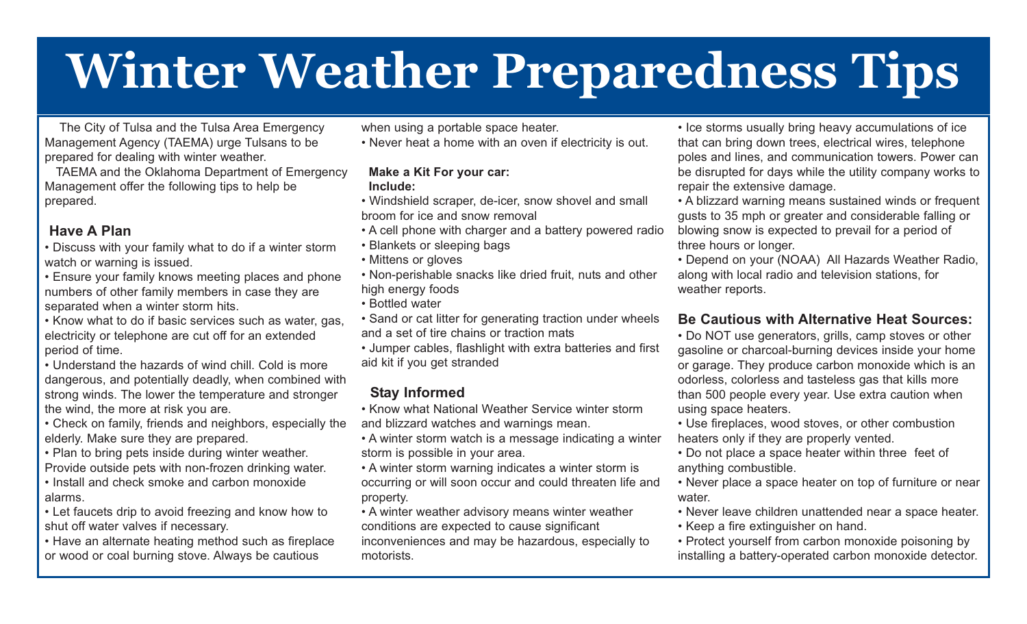# **Winter Weather Preparedness Tips**

The City of Tulsa and the Tulsa Area Emergency Management Agency (TAEMA) urge Tulsans to be prepared for dealing with winter weather.

TAEMA and the Oklahoma Department of Emergency Management offer the following tips to help be prepared.

#### **Have A Plan**

• Discuss with your family what to do if a winter storm watch or warning is issued.

• Ensure your family knows meeting places and phone numbers of other family members in case they are separated when a winter storm hits.

• Know what to do if basic services such as water, gas, electricity or telephone are cut off for an extended period of time.

• Understand the hazards of wind chill. Cold is more dangerous, and potentially deadly, when combined with strong winds. The lower the temperature and stronger the wind, the more at risk you are.

• Check on family, friends and neighbors, especially the elderly. Make sure they are prepared.

• Plan to bring pets inside during winter weather.

Provide outside pets with non-frozen drinking water.

• Install and check smoke and carbon monoxide alarms.

• Let faucets drip to avoid freezing and know how to shut off water valves if necessary.

• Have an alternate heating method such as fireplace or wood or coal burning stove. Always be cautious

when using a portable space heater.

• Never heat a home with an oven if electricity is out.

#### **Make a Kit For your car: Include:**

- Windshield scraper, de-icer, snow shovel and small broom for ice and snow removal
- A cell phone with charger and a battery powered radio
- Blankets or sleeping bags
- Mittens or gloves
- Non-perishable snacks like dried fruit, nuts and other high energy foods
- Bottled water

• Sand or cat litter for generating traction under wheels and a set of tire chains or traction mats

• Jumper cables, flashlight with extra batteries and first aid kit if you get stranded

#### **Stay Informed**

• Know what National Weather Service winter storm and blizzard watches and warnings mean.

• A winter storm watch is a message indicating a winter storm is possible in your area.

• A winter storm warning indicates a winter storm is occurring or will soon occur and could threaten life and property.

• A winter weather advisory means winter weather conditions are expected to cause significant inconveniences and may be hazardous, especially to motorists.

• Ice storms usually bring heavy accumulations of ice that can bring down trees, electrical wires, telephone poles and lines, and communication towers. Power can be disrupted for days while the utility company works to repair the extensive damage.

• A blizzard warning means sustained winds or frequent gusts to 35 mph or greater and considerable falling or blowing snow is expected to prevail for a period of three hours or longer.

• Depend on your (NOAA) All Hazards Weather Radio, along with local radio and television stations, for weather reports.

#### **Be Cautious with Alternative Heat Sources:**

• Do NOT use generators, grills, camp stoves or other gasoline or charcoal-burning devices inside your home or garage. They produce carbon monoxide which is an odorless, colorless and tasteless gas that kills more than 500 people every year. Use extra caution when using space heaters.

• Use fireplaces, wood stoves, or other combustion heaters only if they are properly vented.

• Do not place a space heater within three feet of anything combustible.

• Never place a space heater on top of furniture or near water.

• Never leave children unattended near a space heater.

• Keep a fire extinguisher on hand.

• Protect yourself from carbon monoxide poisoning by installing a battery-operated carbon monoxide detector.